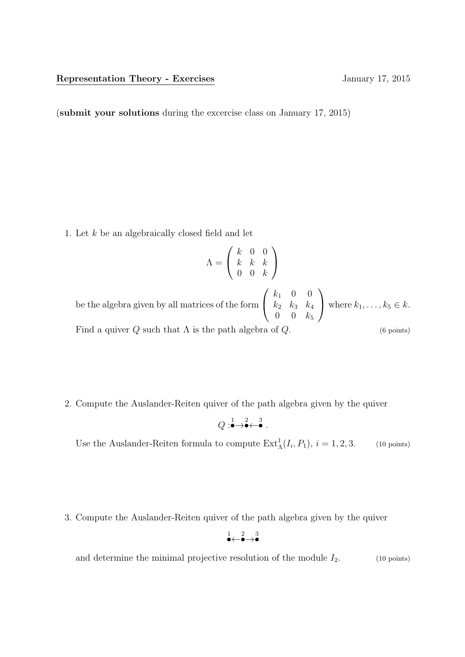(submit your solutions during the excercise class on January 17, 2015)

1. Let k be an algebraically closed field and let

$$
\Lambda = \left(\begin{array}{ccc} k & 0 & 0 \\ k & k & k \\ 0 & 0 & k \end{array}\right)
$$

be the algebra given by all matrices of the form  $\sqrt{ }$  $\overline{1}$  $k_1$  0 0  $k_2$   $k_3$   $k_4$  $0 \t 0 \t k_5$  $\setminus$ where  $k_1, \ldots, k_5 \in k$ . Find a quiver  $Q$  such that  $\Lambda$  is the path algebra of  $Q$ . (6 points)

2. Compute the Auslander-Reiten quiver of the path algebra given by the quiver

$$
Q: \stackrel{1}{\bullet} \to \stackrel{2}{\bullet} \leftarrow \stackrel{3}{\bullet}.
$$

Use the Auslander-Reiten formula to compute  $\text{Ext}^1_{\Lambda}(I_i, P_1), i = 1, 2, 3.$  (10 points)

3. Compute the Auslander-Reiten quiver of the path algebra given by the quiver

$$
\overset{1}{\bullet}\hspace{-0.15em}\leftarrow\hspace{-0.15em}\overset{2}{\bullet}\hspace{-0.15em}\to\overset{3}{\bullet}
$$

and determine the minimal projective resolution of the module  $I_2$ . (10 points)